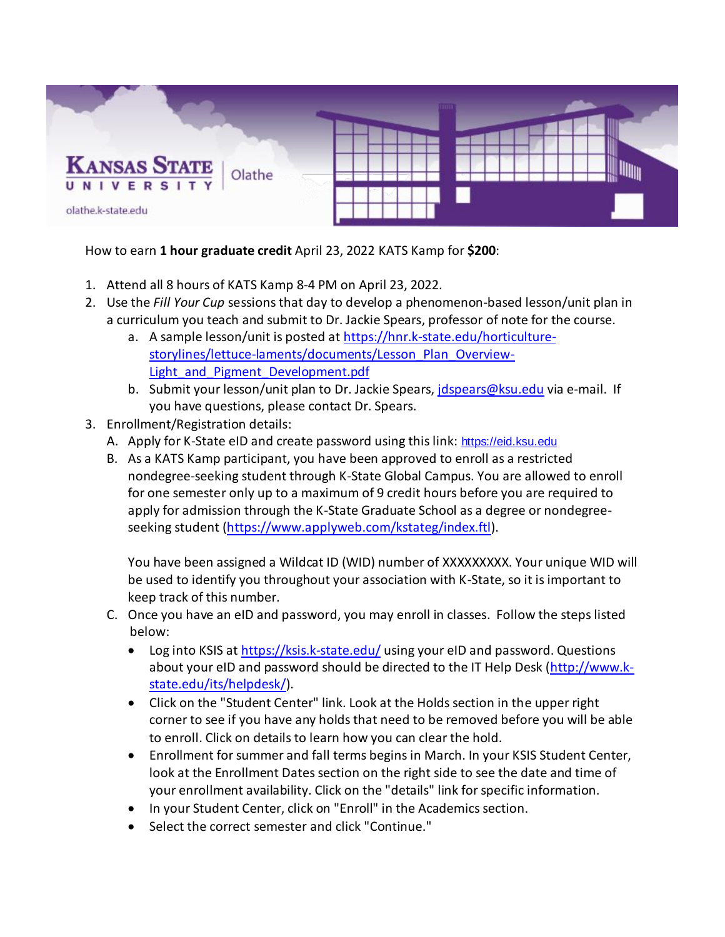

How to earn **1 hour graduate credit** April 23, 2022 KATS Kamp for **\$200**:

- 1. Attend all 8 hours of KATS Kamp 8-4 PM on April 23, 2022.
- 2. Use the *Fill Your Cup* sessions that day to develop a phenomenon-based lesson/unit plan in a curriculum you teach and submit to Dr. Jackie Spears, professor of note for the course.
	- a. A sample lesson/unit is posted at [https://hnr.k-state.edu/horticulture](https://hnr.k-state.edu/horticulture-storylines/lettuce-laments/documents/Lesson_Plan_Overview-Light_and_Pigment_Development.pdf)[storylines/lettuce-laments/documents/Lesson\\_Plan\\_Overview-](https://hnr.k-state.edu/horticulture-storylines/lettuce-laments/documents/Lesson_Plan_Overview-Light_and_Pigment_Development.pdf)Light and Pigment Development.pdf
	- b. Submit your lesson/unit plan to Dr. Jackie Spears[, jdspears@ksu.edu](mailto:jdspears@ksu.edu) via e-mail. If you have questions, please contact Dr. Spears.
- 3. Enrollment/Registration details:
	- A. Apply for K-State eID and create password using this link: [https://eid.ksu.edu](https://eid.ksu.edu/)
	- B. As a KATS Kamp participant, you have been approved to enroll as a restricted nondegree-seeking student through K-State Global Campus. You are allowed to enroll for one semester only up to a maximum of 9 credit hours before you are required to apply for admission through the K-State Graduate School as a degree or nondegreeseeking student [\(https://www.applyweb.com/kstateg/index.ftl\)](https://nam02.safelinks.protection.outlook.com/?url=https%3A%2F%2Fwww.applyweb.com%2Fkstateg%2Findex.ftl&data=04%7C01%7Ckailey.kelbaugh%40pearson.com%7Ce193c566687347686dd008d9ba5e135c%7C8cc434d797d047d3b5c514fe0e33e34b%7C0%7C0%7C637745736251950256%7CUnknown%7CTWFpbGZsb3d8eyJWIjoiMC4wLjAwMDAiLCJQIjoiV2luMzIiLCJBTiI6Ik1haWwiLCJXVCI6Mn0%3D%7C2000&sdata=Pz8OBAwFjyTjf2FnBWJJJyaEUznqDpoxXi%2FsbQvOpEA%3D&reserved=0).

You have been assigned a Wildcat ID (WID) number of XXXXXXXXX. Your unique WID will be used to identify you throughout your association with K-State, so it is important to keep track of this number.

- C. Once you have an eID and password, you may enroll in classes. Follow the steps listed below:
	- Log into KSIS a[t https://ksis.k-state.edu/](https://nam02.safelinks.protection.outlook.com/?url=https%3A%2F%2Fksis.k-state.edu%2F&data=04%7C01%7Ckailey.kelbaugh%40pearson.com%7Ce193c566687347686dd008d9ba5e135c%7C8cc434d797d047d3b5c514fe0e33e34b%7C0%7C0%7C637745736251950256%7CUnknown%7CTWFpbGZsb3d8eyJWIjoiMC4wLjAwMDAiLCJQIjoiV2luMzIiLCJBTiI6Ik1haWwiLCJXVCI6Mn0%3D%7C2000&sdata=Efm%2Be2WGHOmgaEwMQ9PoAcTD3SxHiqb%2FLNYNnhxQtK4%3D&reserved=0) using your eID and password. Questions about your eID and password should be directed to the IT Help Desk [\(http://www.k](https://nam02.safelinks.protection.outlook.com/?url=http%3A%2F%2Fwww.k-state.edu%2Fits%2Fhelpdesk%2F&data=04%7C01%7Ckailey.kelbaugh%40pearson.com%7Ce193c566687347686dd008d9ba5e135c%7C8cc434d797d047d3b5c514fe0e33e34b%7C0%7C0%7C637745736251960225%7CUnknown%7CTWFpbGZsb3d8eyJWIjoiMC4wLjAwMDAiLCJQIjoiV2luMzIiLCJBTiI6Ik1haWwiLCJXVCI6Mn0%3D%7C2000&sdata=mjLSrkPnZW%2BsE0SrSyDXrgQGMYV69GL6MSTuosf7Bgc%3D&reserved=0)[state.edu/its/helpdesk/\)](https://nam02.safelinks.protection.outlook.com/?url=http%3A%2F%2Fwww.k-state.edu%2Fits%2Fhelpdesk%2F&data=04%7C01%7Ckailey.kelbaugh%40pearson.com%7Ce193c566687347686dd008d9ba5e135c%7C8cc434d797d047d3b5c514fe0e33e34b%7C0%7C0%7C637745736251960225%7CUnknown%7CTWFpbGZsb3d8eyJWIjoiMC4wLjAwMDAiLCJQIjoiV2luMzIiLCJBTiI6Ik1haWwiLCJXVCI6Mn0%3D%7C2000&sdata=mjLSrkPnZW%2BsE0SrSyDXrgQGMYV69GL6MSTuosf7Bgc%3D&reserved=0).
	- Click on the "Student Center" link. Look at the Holds section in the upper right corner to see if you have any holds that need to be removed before you will be able to enroll. Click on details to learn how you can clear the hold.
	- Enrollment for summer and fall terms begins in March. In your KSIS Student Center, look at the Enrollment Dates section on the right side to see the date and time of your enrollment availability. Click on the "details" link for specific information.
	- In your Student Center, click on "Enroll" in the Academics section.
	- Select the correct semester and click "Continue."